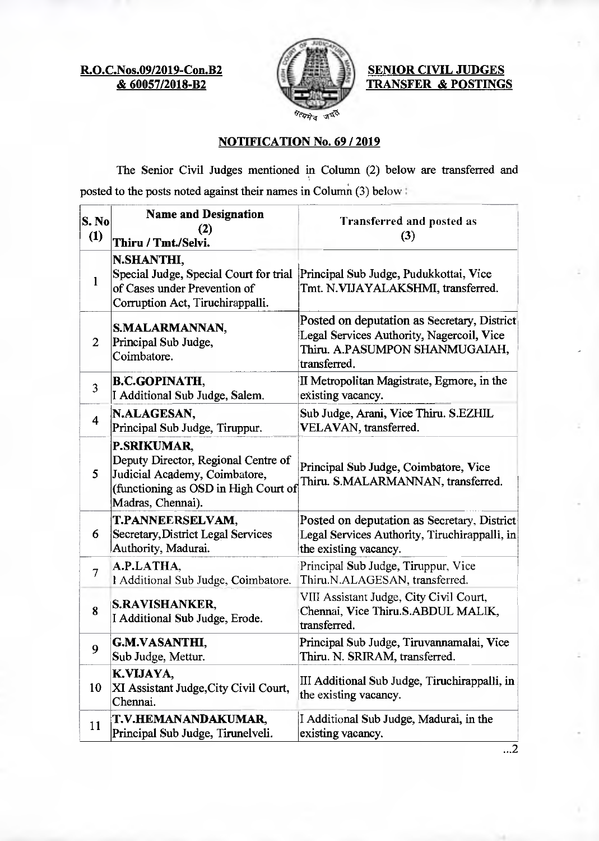**R.O.C.Nos.09/2019-Con.B2 & 60057/2018-B2** 



**SENIOR CIVIL JUDGES TRANSFER & POSTINGS** 

## **NOTIFICATION No. 69 / 2019**

The Senior Civil Judges mentioned in Column (2) below are transferred and posted to the posts noted against their names in Column  $(3)$  below:

| S. No<br>(1)            | <b>Name and Designation</b><br>(2)<br>Thiru / Tmt./Selvi.                                                                                               | Transferred and posted as<br>(3)                                                                                                           |
|-------------------------|---------------------------------------------------------------------------------------------------------------------------------------------------------|--------------------------------------------------------------------------------------------------------------------------------------------|
| 1                       | N.SHANTHI,<br>of Cases under Prevention of<br>Corruption Act, Tiruchirappalli.                                                                          | Special Judge, Special Court for trial Principal Sub Judge, Pudukkottai, Vice<br>Tmt. N.VIJAYALAKSHMI, transferred.                        |
| $\overline{2}$          | S.MALARMANNAN,<br>Principal Sub Judge,<br>Coimbatore.                                                                                                   | Posted on deputation as Secretary, District<br>Legal Services Authority, Nagercoil, Vice<br>Thiru. A.PASUMPON SHANMUGAIAH,<br>transferred. |
| $\overline{3}$          | <b>B.C.GOPINATH,</b><br>I Additional Sub Judge, Salem.                                                                                                  | II Metropolitan Magistrate, Egmore, in the<br>existing vacancy.                                                                            |
| $\overline{\mathbf{4}}$ | N.ALAGESAN,<br>Principal Sub Judge, Tiruppur.                                                                                                           | Sub Judge, Arani, Vice Thiru. S.EZHIL<br>VELAVAN, transferred.                                                                             |
| 5                       | <b>P.SRIKUMAR,</b><br>Deputy Director, Regional Centre of<br>Judicial Academy, Coimbatore,<br>(functioning as OSD in High Court of<br>Madras, Chennai). | Principal Sub Judge, Coimbatore, Vice<br>Thiru. S.MALARMANNAN, transferred.                                                                |
| 6                       | T.PANNEERSELVAM,<br>Secretary, District Legal Services<br>Authority, Madurai.                                                                           | Posted on deputation as Secretary, District<br>Legal Services Authority, Tiruchirappalli, in<br>the existing vacancy.                      |
| $\overline{7}$          | A.P.LATHA,<br>I Additional Sub Judge, Coimbatore.                                                                                                       | Principal Sub Judge, Tiruppur, Vice<br>Thiru.N.ALAGESAN, transferred.                                                                      |
| 8                       | <b>S.RAVISHANKER,</b><br>I Additional Sub Judge, Erode.                                                                                                 | VIII Assistant Judge, City Civil Court,<br>Chennai, Vice Thiru.S.ABDUL MALIK,<br>transferred.                                              |
| 9                       | <b>G.M.VASANTHI,</b><br>Sub Judge, Mettur.                                                                                                              | Principal Sub Judge, Tiruvannamalai, Vice<br>Thiru. N. SRIRAM, transferred                                                                 |
| 10                      | K.VIJAYA,<br>XI Assistant Judge, City Civil Court,<br>Chennai.                                                                                          | III Additional Sub Judge, Tiruchirappalli, in<br>the existing vacancy.                                                                     |
| 11                      | T.V.HEMANANDAKUMAR,<br>Principal Sub Judge, Tirunelveli.                                                                                                | I Additional Sub Judge, Madurai, in the<br>existing vacancy.                                                                               |

 $\ldots$ 2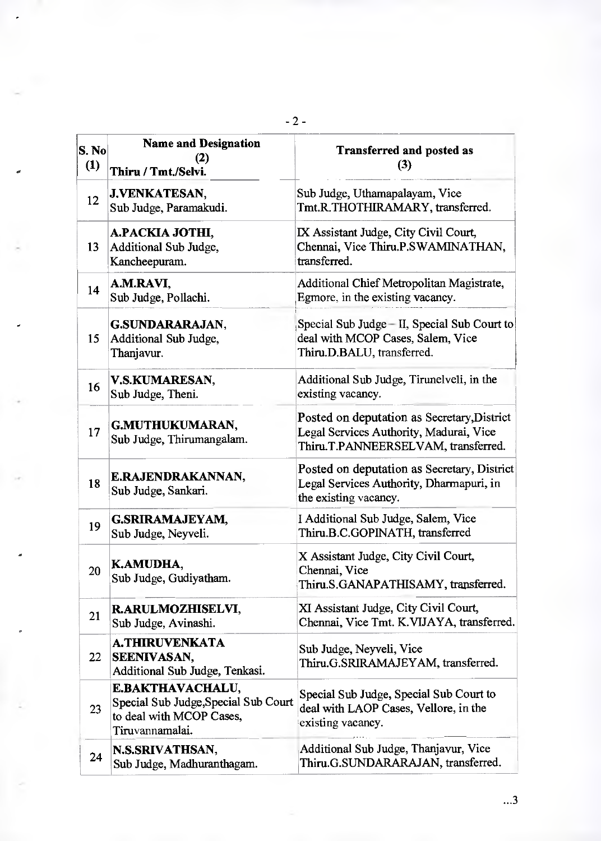| S. No<br>(1) | <b>Name and Designation</b><br>(2)<br>Thiru / Tmt./Selvi.                                                      | <b>Transferred and posted as</b><br>(3)                                                                                       |
|--------------|----------------------------------------------------------------------------------------------------------------|-------------------------------------------------------------------------------------------------------------------------------|
| 12           | <b>J.VENKATESAN,</b><br>Sub Judge, Paramakudi.                                                                 | Sub Judge, Uthamapalayam, Vice<br>Tmt.R.THOTHIRAMARY, transferred.                                                            |
| 13           | A.PACKIA JOTHI,<br>Additional Sub Judge,<br>Kancheepuram.                                                      | IX Assistant Judge, City Civil Court,<br>Chennai, Vice Thiru.P.SWAMINATHAN,<br>transferred.                                   |
| 14           | A.M.RAVI,<br>Sub Judge, Pollachi.                                                                              | Additional Chief Metropolitan Magistrate,<br>Egmore, in the existing vacancy.                                                 |
| 15           | <b>G.SUNDARARAJAN,</b><br>Additional Sub Judge,<br>Thanjavur.                                                  | Special Sub Judge - II, Special Sub Court to<br>deal with MCOP Cases, Salem, Vice<br>Thiru.D.BALU, transferred.               |
| 16           | V.S.KUMARESAN,<br>Sub Judge, Theni.                                                                            | Additional Sub Judge, Tirunelveli, in the<br>existing vacancy.                                                                |
| 17           | G.MUTHUKUMARAN,<br>Sub Judge, Thirumangalam.                                                                   | Posted on deputation as Secretary, District<br>Legal Services Authority, Madurai, Vice<br>Thiru.T.PANNEERSELVAM, transferred. |
| 18           | E.RAJENDRAKANNAN,<br>Sub Judge, Sankari.                                                                       | Posted on deputation as Secretary, District<br>Legal Services Authority, Dharmapuri, in<br>the existing vacancy.              |
| 19           | <b>G.SRIRAMAJEYAM,</b><br>Sub Judge, Neyveli.                                                                  | I Additional Sub Judge, Salem, Vice<br>Thiru.B.C.GOPINATH, transferred                                                        |
| 20           | K.AMUDHA,<br>Sub Judge, Gudiyatham.                                                                            | X Assistant Judge, City Civil Court,<br>Chennai, Vice<br>Thiru.S.GANAPATHISAMY, transferred.                                  |
| 21           | R.ARULMOZHISELVI,<br>Sub Judge, Avinashi.                                                                      | XI Assistant Judge, City Civil Court,<br>Chennai, Vice Tmt. K.VIJAYA, transferred.                                            |
| 22           | A.THIRUVENKATA<br><b>SEENIVASAN,</b><br>Additional Sub Judge, Tenkasi.                                         | Sub Judge, Neyveli, Vice<br>Thiru.G.SRIRAMAJEYAM, transferred.                                                                |
| 23           | <b>E.BAKTHAVACHALU,</b><br>Special Sub Judge, Special Sub Court<br>to deal with MCOP Cases,<br>Tiruvannamalai. | Special Sub Judge, Special Sub Court to<br>deal with LAOP Cases, Vellore, in the<br>existing vacancy.                         |
| 24           | N.S.SRIVATHSAN,<br>Sub Judge, Madhuranthagam.                                                                  | Additional Sub Judge, Thanjavur, Vice<br>Thiru.G.SUNDARARAJAN, transferred.                                                   |

- 2 -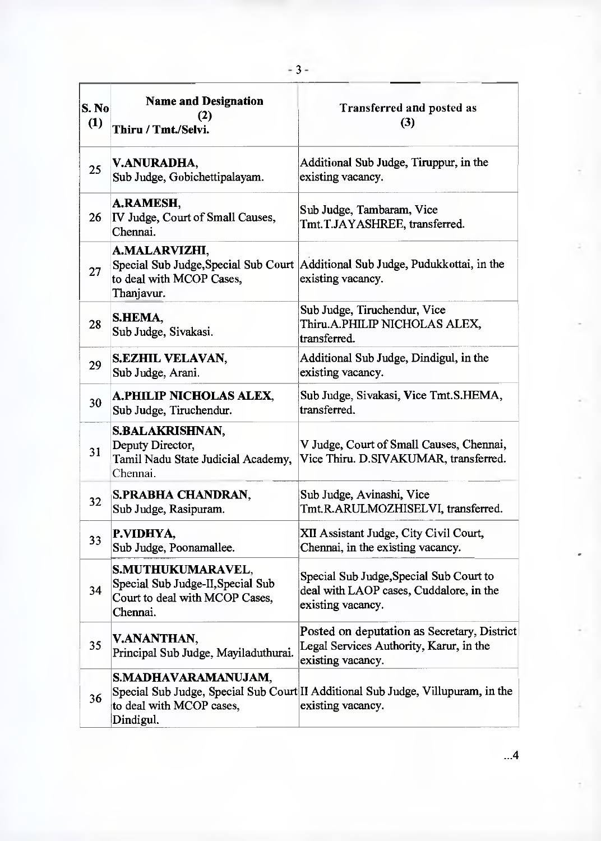| S. No<br>(1)    | <b>Name and Designation</b><br>(2)<br>Thiru / Tmt./Selvi.                                            | Transferred and posted as<br>(3)                                                                            |
|-----------------|------------------------------------------------------------------------------------------------------|-------------------------------------------------------------------------------------------------------------|
| 25              | V.ANURADHA,<br>Sub Judge, Gobichettipalayam.                                                         | Additional Sub Judge, Tiruppur, in the<br>existing vacancy.                                                 |
| 26              | <b>A.RAMESH,</b><br>IV Judge, Court of Small Causes,<br>Chennai.                                     | Sub Judge, Tambaram, Vice<br>Tmt.T.JAYASHREE, transferred.                                                  |
| 27              | A.MALARVIZHI,<br>Special Sub Judge, Special Sub Court<br>to deal with MCOP Cases,<br>Thanjavur.      | Additional Sub Judge, Pudukkottai, in the<br>existing vacancy.                                              |
| 28              | S.HEMA,<br>Sub Judge, Sivakasi.                                                                      | Sub Judge, Tiruchendur, Vice<br>Thiru.A.PHILIP NICHOLAS ALEX,<br>transferred.                               |
| 29              | S.EZHIL VELAVAN,<br>Sub Judge, Arani.                                                                | Additional Sub Judge, Dindigul, in the<br>existing vacancy.                                                 |
| 30              | <b>A.PHILIP NICHOLAS ALEX,</b><br>Sub Judge, Tiruchendur.                                            | Sub Judge, Sivakasi, Vice Tmt.S.HEMA,<br>transferred.                                                       |
| 31              | <b>S.BALAKRISHNAN,</b><br>Deputy Director,<br>Tamil Nadu State Judicial Academy,<br>Chennai.         | V Judge, Court of Small Causes, Chennai,<br>Vice Thiru. D.SIVAKUMAR, transferred.                           |
| 32 <sup>2</sup> | S.PRABHA CHANDRAN,<br>Sub Judge, Rasipuram.                                                          | Sub Judge, Avinashi, Vice<br>Tmt.R.ARULMOZHISELVI, transferred.                                             |
| 33              | P.VIDHYA,<br>Sub Judge, Poonamallee.                                                                 | XII Assistant Judge, City Civil Court,<br>Chennai, in the existing vacancy.                                 |
| 34              | S.MUTHUKUMARAVEL,<br>Special Sub Judge-II, Special Sub<br>Court to deal with MCOP Cases,<br>Chennai. | Special Sub Judge, Special Sub Court to<br>deal with LAOP cases, Cuddalore, in the<br>existing vacancy.     |
| 35              | V.ANANTHAN,<br>Principal Sub Judge, Mayiladuthurai.                                                  | Posted on deputation as Secretary, District<br>Legal Services Authority, Karur, in the<br>existing vacancy. |
| 36              | S.MADHAVARAMANUJAM,<br>to deal with MCOP cases,<br>Dindigul.                                         | Special Sub Judge, Special Sub Court II Additional Sub Judge, Villupuram, in the<br>existing vacancy.       |

 $...4$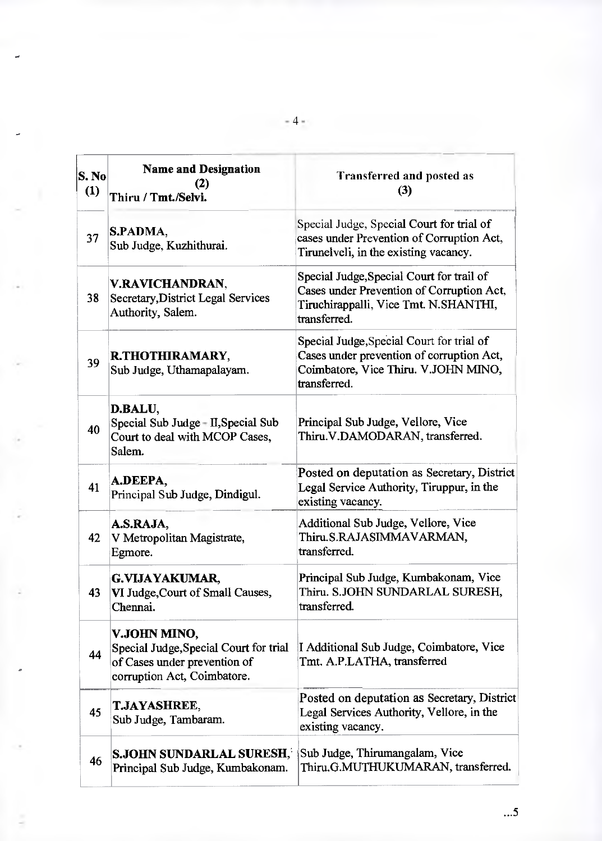| S. No<br>(1) | <b>Name and Designation</b><br>(2)<br>Thiru / Tmt./Selvi.                                                             | <b>Transferred and posted as</b><br>(3)                                                                                                         |
|--------------|-----------------------------------------------------------------------------------------------------------------------|-------------------------------------------------------------------------------------------------------------------------------------------------|
| 37           | S.PADMA,<br>Sub Judge, Kuzhithurai.                                                                                   | Special Judge, Special Court for trial of<br>cases under Prevention of Corruption Act,<br>Tirunelveli, in the existing vacancy.                 |
| 38           | V.RAVICHANDRAN,<br>Secretary, District Legal Services<br>Authority, Salem.                                            | Special Judge, Special Court for trail of<br>Cases under Prevention of Corruption Act,<br>Tiruchirappalli, Vice Tmt. N.SHANTHI,<br>transferred. |
| 39           | R.THOTHIRAMARY,<br>Sub Judge, Uthamapalayam.                                                                          | Special Judge, Special Court for trial of<br>Cases under prevention of corruption Act,<br>Coimbatore, Vice Thiru. V.JOHN MINO,<br>transferred.  |
| 40           | D.BALU,<br>Special Sub Judge - II, Special Sub<br>Court to deal with MCOP Cases,<br>Salem.                            | Principal Sub Judge, Vellore, Vice<br>Thiru.V.DAMODARAN, transferred.                                                                           |
| 41           | A.DEEPA,<br>Principal Sub Judge, Dindigul.                                                                            | Posted on deputation as Secretary, District<br>Legal Service Authority, Tiruppur, in the<br>existing vacancy.                                   |
| 42           | A.S.RAJA,<br>V Metropolitan Magistrate,<br>Egmore.                                                                    | Additional Sub Judge, Vellore, Vice<br>Thiru.S.RAJASIMMAVARMAN,<br>transferred.                                                                 |
| 43           | <b>G.VIJAYAKUMAR,</b><br>VI Judge, Court of Small Causes,<br>Chennai.                                                 | Principal Sub Judge, Kumbakonam, Vice<br>Thiru. S.JOHN SUNDARLAL SURESH,<br>transferred.                                                        |
| 44           | V.JOHN MINO,<br>Special Judge, Special Court for trial<br>of Cases under prevention of<br>corruption Act, Coimbatore. | I Additional Sub Judge, Coimbatore, Vice<br>Tmt. A.P.LATHA, transferred                                                                         |
| 45           | <b>T.JAYASHREE,</b><br>Sub Judge, Tambaram.                                                                           | Posted on deputation as Secretary, District<br>Legal Services Authority, Vellore, in the<br>existing vacancy.                                   |
| 46           | <b>S.JOHN SUNDARLAL SURESH,</b><br>Principal Sub Judge, Kumbakonam.                                                   | Sub Judge, Thirumangalam, Vice<br>Thiru.G.MUTHUKUMARAN, transferred.                                                                            |

 $-4.4$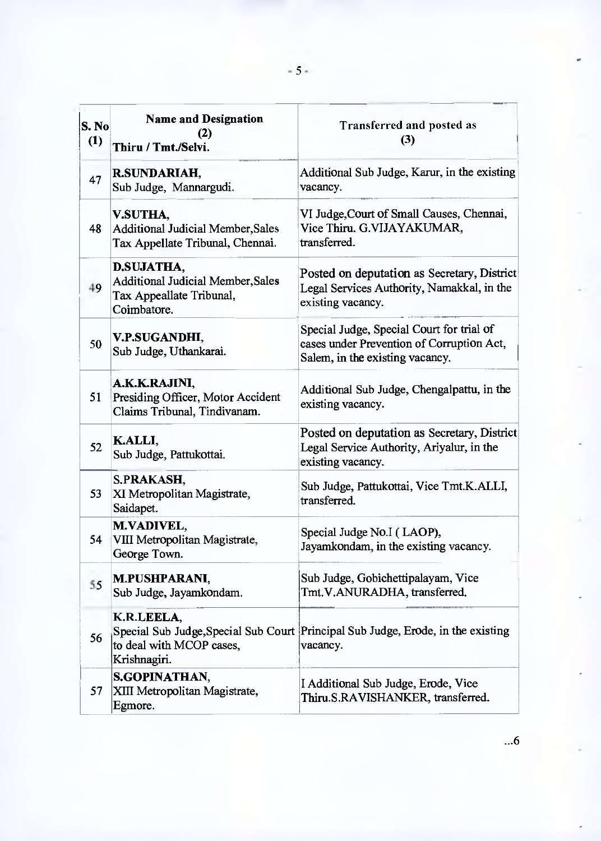| S. No<br>(1) | <b>Name and Designation</b><br>(2)<br>Thiru / Tmt./Selvi.                                  | Transferred and posted as<br>(3)                                                                                          |
|--------------|--------------------------------------------------------------------------------------------|---------------------------------------------------------------------------------------------------------------------------|
| 47           | <b>R.SUNDARIAH,</b><br>Sub Judge, Mannargudi.                                              | Additional Sub Judge, Karur, in the existing<br>vacancy.                                                                  |
| 48           | V.SUTHA,<br><b>Additional Judicial Member, Sales</b><br>Tax Appellate Tribunal, Chennai.   | VI Judge, Court of Small Causes, Chennai,<br>Vice Thiru. G.VIJAYAKUMAR,<br>transferred.                                   |
| 49           | D.SUJATHA,<br>Additional Judicial Member, Sales<br>Tax Appeallate Tribunal,<br>Coimbatore. | Posted on deputation as Secretary, District<br>Legal Services Authority, Namakkal, in the<br>existing vacancy.            |
| 50           | V.P.SUGANDHI,<br>Sub Judge, Uthankarai.                                                    | Special Judge, Special Court for trial of<br>cases under Prevention of Corruption Act,<br>Salem, in the existing vacancy. |
| 51           | A.K.K.RAJINI,<br>Presiding Officer, Motor Accident<br>Claims Tribunal, Tindivanam.         | Additional Sub Judge, Chengalpattu, in the<br>existing vacancy.                                                           |
| 52           | K.ALLI,<br>Sub Judge, Pattukottai.                                                         | Posted on deputation as Secretary, District<br>Legal Service Authority, Ariyalur, in the<br>existing vacancy.             |
| 53           | S.PRAKASH,<br>XI Metropolitan Magistrate,<br>Saidapet.                                     | Sub Judge, Pattukottai, Vice Tmt.K.ALLI,<br>transferred.                                                                  |
| 54           | M.VADIVEL,<br>VIII Metropolitan Magistrate,<br>George Town.                                | Special Judge No.I (LAOP),<br>Jayamkondam, in the existing vacancy.                                                       |
| 55           | M.PUSHPARANI,<br>Sub Judge, Jayamkondam.                                                   | Sub Judge, Gobichettipalayam, Vice<br>Tmt.V.ANURADHA, transferred.                                                        |
| 56           | K.R.LEELA,<br>to deal with MCOP cases,<br>Krishnagiri.                                     | Special Sub Judge, Special Sub Court Principal Sub Judge, Erode, in the existing<br>vacancy.                              |
| 57           | <b>S.GOPINATHAN,</b><br>XIII Metropolitan Magistrate,<br>Egmore.                           | I Additional Sub Judge, Erode, Vice<br>Thiru.S.RAVISHANKER, transferred.                                                  |

 $\ddotsc 6$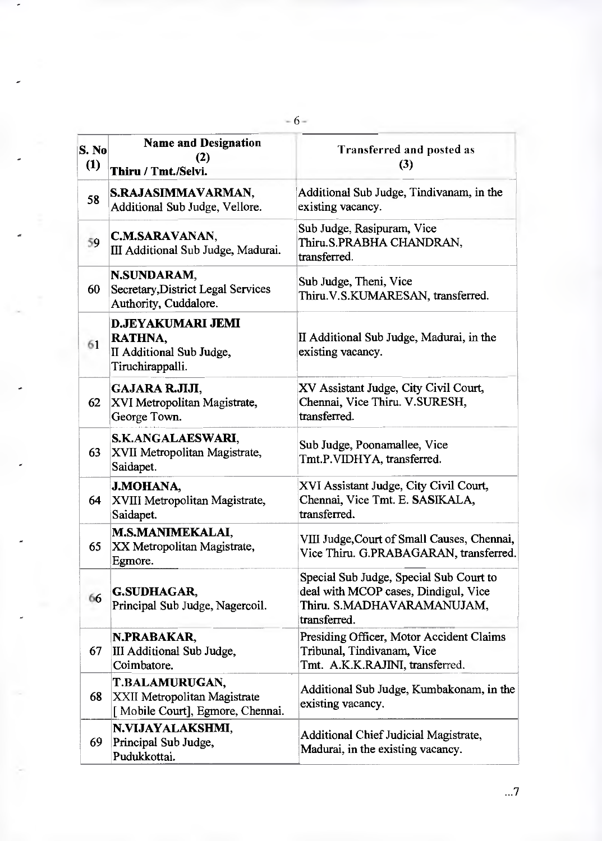| S. No<br>(1) | <b>Name and Designation</b><br>(2)<br>Thiru / Tmt./Selvi.                           | Transferred and posted as<br>(3)                                                                                              |
|--------------|-------------------------------------------------------------------------------------|-------------------------------------------------------------------------------------------------------------------------------|
| 58           | S.RAJASIMMAVARMAN,<br>Additional Sub Judge, Vellore.                                | Additional Sub Judge, Tindivanam, in the<br>existing vacancy.                                                                 |
| 59           | C.M.SARAVANAN,<br>III Additional Sub Judge, Madurai.                                | Sub Judge, Rasipuram, Vice<br>Thiru.S.PRABHA CHANDRAN,<br>transferred.                                                        |
| 60           | N.SUNDARAM,<br>Secretary, District Legal Services<br>Authority, Cuddalore.          | Sub Judge, Theni, Vice<br>Thiru.V.S.KUMARESAN, transferred.                                                                   |
| 61           | <b>D.JEYAKUMARI JEMI</b><br>RATHNA,<br>II Additional Sub Judge,<br>Tiruchirappalli. | II Additional Sub Judge, Madurai, in the<br>existing vacancy.                                                                 |
| 62           | GAJARA R.JIJI,<br>XVI Metropolitan Magistrate,<br>George Town.                      | XV Assistant Judge, City Civil Court,<br>Chennai, Vice Thiru. V.SURESH,<br>transferred.                                       |
| 63           | S.K.ANGALAESWARI,<br>XVII Metropolitan Magistrate,<br>Saidapet.                     | Sub Judge, Poonamallee, Vice<br>Tmt.P.VIDHYA, transferred.                                                                    |
| 64           | <b>J.MOHANA,</b><br>XVIII Metropolitan Magistrate,<br>Saidapet.                     | XVI Assistant Judge, City Civil Court,<br>Chennai, Vice Tmt. E. SASIKALA,<br>transferred.                                     |
| 65           | <b>M.S.MANIMEKALAI,</b><br>XX Metropolitan Magistrate,<br>Egmore.                   | VIII Judge, Court of Small Causes, Chennai,<br>Vice Thiru. G.PRABAGARAN, transferred.                                         |
| 66           | <b>G.SUDHAGAR,</b><br>Principal Sub Judge, Nagercoil.                               | Special Sub Judge, Special Sub Court to<br>deal with MCOP cases, Dindigul, Vice<br>Thiru. S.MADHAVARAMANUJAM,<br>transferred. |
| 67           | N.PRABAKAR,<br>III Additional Sub Judge,<br>Coimbatore.                             | Presiding Officer, Motor Accident Claims<br>Tribunal, Tindivanam, Vice<br>Tmt. A.K.K.RAJINI, transferred.                     |
| 68           | T.BALAMURUGAN,<br>XXII Metropolitan Magistrate<br>[Mobile Court], Egmore, Chennai.  | Additional Sub Judge, Kumbakonam, in the<br>existing vacancy.                                                                 |
| 69.          | N.VIJAYALAKSHMI,<br>Principal Sub Judge,<br>Pudukkottai.                            | <b>Additional Chief Judicial Magistrate,</b><br>Madurai, in the existing vacancy.                                             |

 $-6 -$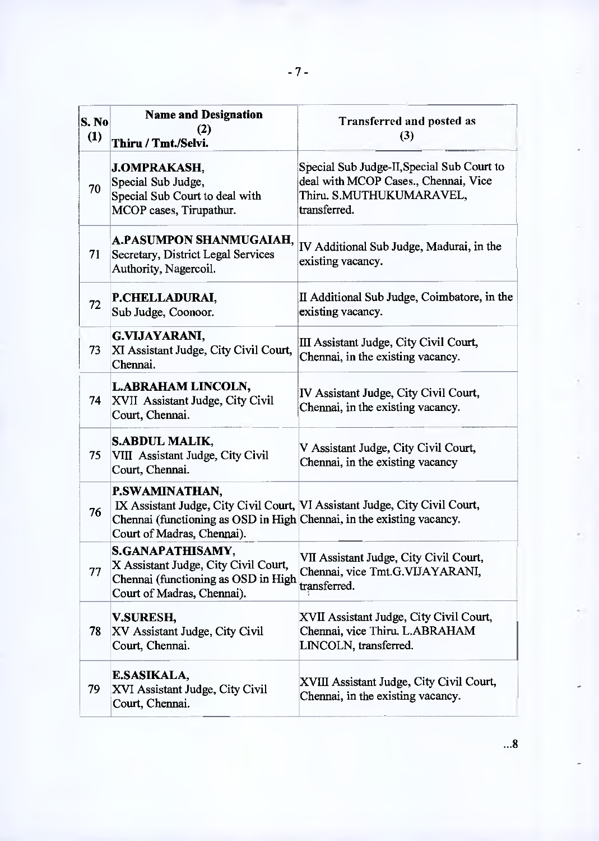| S. No<br>(1) | <b>Name and Designation</b><br>(2)<br>Thiru / Tmt./Selvi.                                                                                                                                            | <b>Transferred and posted as</b><br>(3)                                                                                        |
|--------------|------------------------------------------------------------------------------------------------------------------------------------------------------------------------------------------------------|--------------------------------------------------------------------------------------------------------------------------------|
| 70           | <b>J.OMPRAKASH,</b><br>Special Sub Judge,<br>Special Sub Court to deal with<br>MCOP cases, Tirupathur.                                                                                               | Special Sub Judge-II, Special Sub Court to<br>deal with MCOP Cases., Chennai, Vice<br>Thiru. S.MUTHUKUMARAVEL,<br>transferred. |
| 71           | A.PASUMPON SHANMUGAIAH,<br><b>Secretary, District Legal Services</b><br>Authority, Nagercoil.                                                                                                        | IV Additional Sub Judge, Madurai, in the<br>existing vacancy.                                                                  |
| 72           | P.CHELLADURAI,<br>Sub Judge, Coonoor.                                                                                                                                                                | II Additional Sub Judge, Coimbatore, in the<br>existing vacancy.                                                               |
| 73           | G.VIJAYARANI,<br>XI Assistant Judge, City Civil Court,<br>Chennai.                                                                                                                                   | III Assistant Judge, City Civil Court,<br>Chennai, in the existing vacancy.                                                    |
| 74           | <b>L.ABRAHAM LINCOLN,</b><br>XVII Assistant Judge, City Civil<br>Court, Chennai.                                                                                                                     | IV Assistant Judge, City Civil Court,<br>Chennai, in the existing vacancy.                                                     |
| 75           | <b>S.ABDUL MALIK,</b><br>VIII Assistant Judge, City Civil<br>Court, Chennai.                                                                                                                         | V Assistant Judge, City Civil Court,<br>Chennai, in the existing vacancy                                                       |
| 76           | P.SWAMINATHAN,<br>IX Assistant Judge, City Civil Court, VI Assistant Judge, City Civil Court,<br>Chennai (functioning as OSD in High Chennai, in the existing vacancy.<br>Court of Madras, Chennai). |                                                                                                                                |
| 77           | S.GANAPATHISAMY,<br>X Assistant Judge, City Civil Court,<br>Chennai (functioning as OSD in High<br>Court of Madras, Chennai).                                                                        | VII Assistant Judge, City Civil Court,<br>Chennai, vice Tmt.G.VIJAYARANI,<br>transferred.                                      |
| 78.          | V.SURESH,<br>XV Assistant Judge, City Civil<br>Court, Chennai.                                                                                                                                       | XVII Assistant Judge, City Civil Court,<br>Chennai, vice Thiru. L.ABRAHAM<br>LINCOLN, transferred.                             |
| 79           | E.SASIKALA,<br>XVI Assistant Judge, City Civil<br>Court, Chennai.                                                                                                                                    | XVIII Assistant Judge, City Civil Court,<br>Chennai, in the existing vacancy.                                                  |

 $...8$